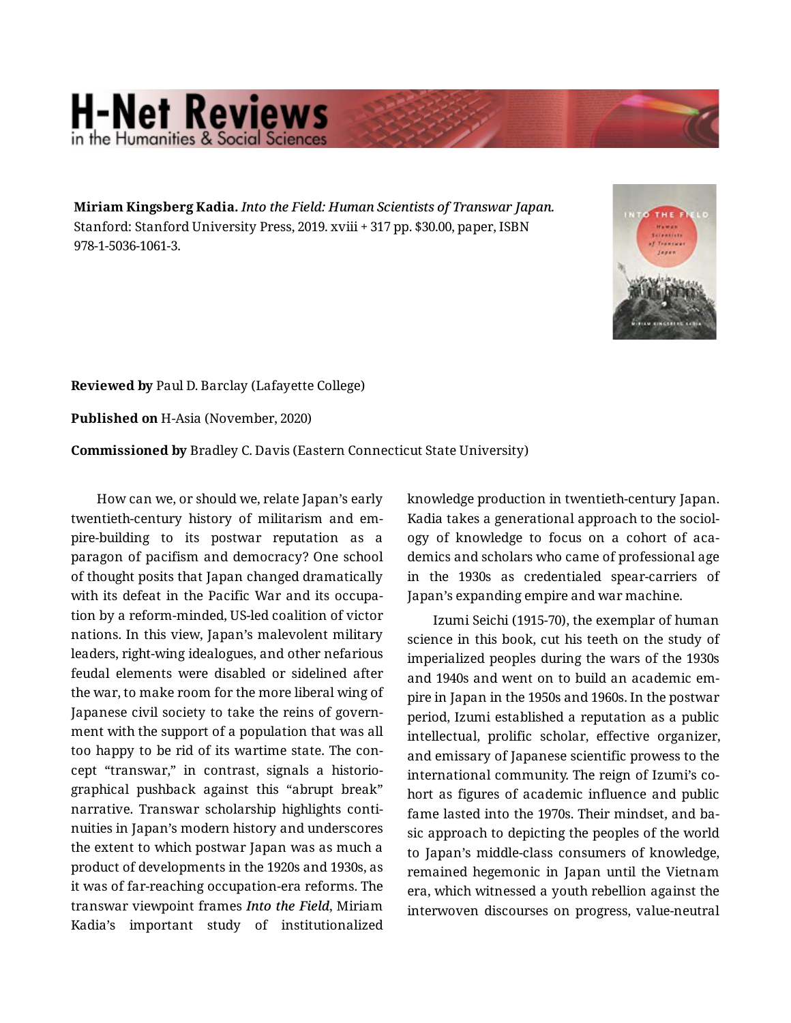## **H-Net Reviews** in the Humanities & Social Scie

**Miriam Kingsberg Kadia.** *Into the Field: Human Scientists of Transwar Japan.*  Stanford: Stanford University Press, 2019. xviii + 317 pp. \$30.00, paper, ISBN 978-1-5036-1061-3.



**Reviewed by** Paul D. Barclay (Lafayette College)

**Published on** H-Asia (November, 2020)

**Commissioned by** Bradley C. Davis (Eastern Connecticut State University)

How can we, or should we, relate Japan's early twentieth-century history of militarism and em‐ pire-building to its postwar reputation as a paragon of pacifism and democracy? One school of thought posits that Japan changed dramatically with its defeat in the Pacific War and its occupa‐ tion by a reform-minded, US-led coalition of victor nations. In this view, Japan's malevolent military leaders, right-wing idealogues, and other nefarious feudal elements were disabled or sidelined after the war, to make room for the more liberal wing of Japanese civil society to take the reins of govern‐ ment with the support of a population that was all too happy to be rid of its wartime state. The con‐ cept "transwar," in contrast, signals a historio‐ graphical pushback against this "abrupt break" narrative. Transwar scholarship highlights conti‐ nuities in Japan's modern history and underscores the extent to which postwar Japan was as much a product of developments in the 1920s and 1930s, as it was of far-reaching occupation-era reforms. The transwar viewpoint frames *Into the Field*, Miriam Kadia's important study of institutionalized

knowledge production in twentieth-century Japan. Kadia takes a generational approach to the sociol‐ ogy of knowledge to focus on a cohort of aca‐ demics and scholars who came of professional age in the 1930s as credentialed spear-carriers of Japan's expanding empire and war machine.

Izumi Seichi (1915-70), the exemplar of human science in this book, cut his teeth on the study of imperialized peoples during the wars of the 1930s and 1940s and went on to build an academic em‐ pire in Japan in the 1950s and 1960s. In the postwar period, Izumi established a reputation as a public intellectual, prolific scholar, effective organizer, and emissary of Japanese scientific prowess to the international community. The reign of Izumi's co‐ hort as figures of academic influence and public fame lasted into the 1970s. Their mindset, and ba‐ sic approach to depicting the peoples of the world to Japan's middle-class consumers of knowledge, remained hegemonic in Japan until the Vietnam era, which witnessed a youth rebellion against the interwoven discourses on progress, value-neutral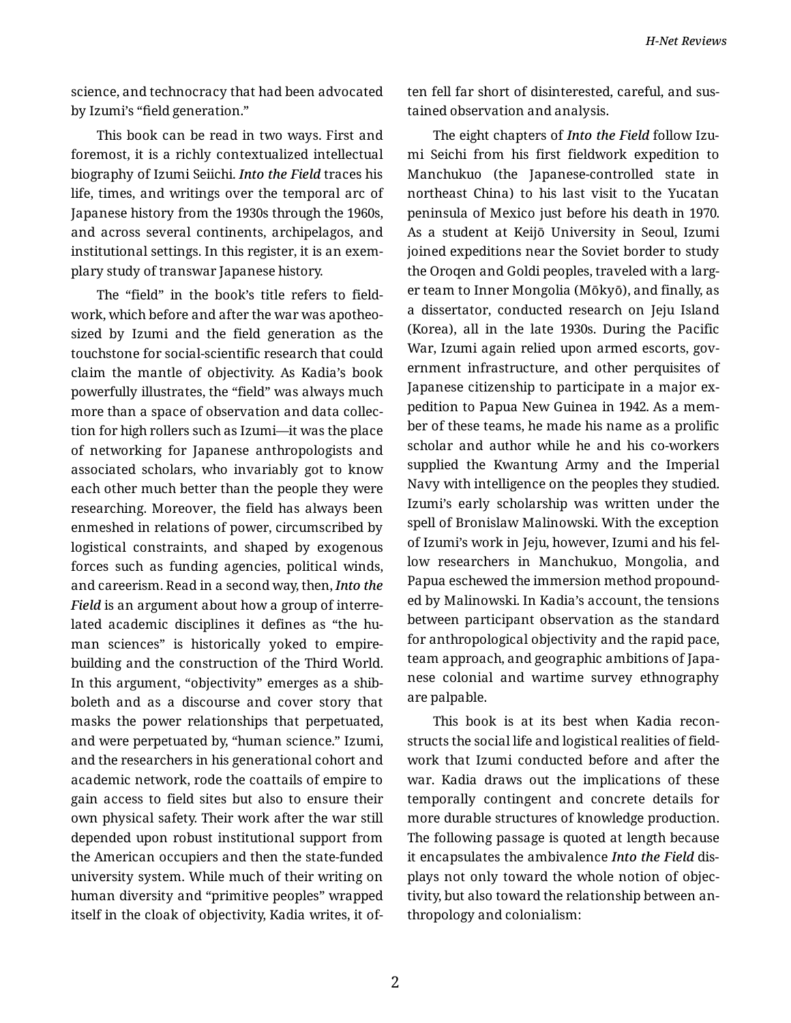science, and technocracy that had been advocated by Izumi's "field generation."

This book can be read in two ways. First and foremost, it is a richly contextualized intellectual biography of Izumi Seiichi. *Into the Field* traces his life, times, and writings over the temporal arc of Japanese history from the 1930s through the 1960s, and across several continents, archipelagos, and institutional settings. In this register, it is an exem‐ plary study of transwar Japanese history.

The "field" in the book's title refers to field‐ work, which before and after the war was apotheo‐ sized by Izumi and the field generation as the touchstone for social-scientific research that could claim the mantle of objectivity. As Kadia's book powerfully illustrates, the "field" was always much more than a space of observation and data collec‐ tion for high rollers such as Izumi—it was the place of networking for Japanese anthropologists and associated scholars, who invariably got to know each other much better than the people they were researching. Moreover, the field has always been enmeshed in relations of power, circumscribed by logistical constraints, and shaped by exogenous forces such as funding agencies, political winds, and careerism. Read in a second way, then, *Into the Field* is an argument about how a group of interre‐ lated academic disciplines it defines as "the human sciences" is historically yoked to empirebuilding and the construction of the Third World. In this argument, "objectivity" emerges as a shib‐ boleth and as a discourse and cover story that masks the power relationships that perpetuated, and were perpetuated by, "human science." Izumi, and the researchers in his generational cohort and academic network, rode the coattails of empire to gain access to field sites but also to ensure their own physical safety. Their work after the war still depended upon robust institutional support from the American occupiers and then the state-funded university system. While much of their writing on human diversity and "primitive peoples" wrapped itself in the cloak of objectivity, Kadia writes, it of‐ ten fell far short of disinterested, careful, and sus‐ tained observation and analysis.

The eight chapters of *Into the Field* follow Izu‐ mi Seichi from his first fieldwork expedition to Manchukuo (the Japanese-controlled state in northeast China) to his last visit to the Yucatan peninsula of Mexico just before his death in 1970. As a student at Keijō University in Seoul, Izumi joined expeditions near the Soviet border to study the Oroqen and Goldi peoples, traveled with a larg‐ er team to Inner Mongolia (Mōkyō), and finally, as a dissertator, conducted research on Jeju Island (Korea), all in the late 1930s. During the Pacific War, Izumi again relied upon armed escorts, government infrastructure, and other perquisites of Japanese citizenship to participate in a major ex‐ pedition to Papua New Guinea in 1942. As a mem‐ ber of these teams, he made his name as a prolific scholar and author while he and his co-workers supplied the Kwantung Army and the Imperial Navy with intelligence on the peoples they studied. Izumi's early scholarship was written under the spell of Bronislaw Malinowski. With the exception of Izumi's work in Jeju, however, Izumi and his fel‐ low researchers in Manchukuo, Mongolia, and Papua eschewed the immersion method propound‐ ed by Malinowski. In Kadia's account, the tensions between participant observation as the standard for anthropological objectivity and the rapid pace, team approach, and geographic ambitions of Japa‐ nese colonial and wartime survey ethnography are palpable.

This book is at its best when Kadia recon‐ structs the social life and logistical realities of field‐ work that Izumi conducted before and after the war. Kadia draws out the implications of these temporally contingent and concrete details for more durable structures of knowledge production. The following passage is quoted at length because it encapsulates the ambivalence *Into the Field* dis‐ plays not only toward the whole notion of objec‐ tivity, but also toward the relationship between an‐ thropology and colonialism:

2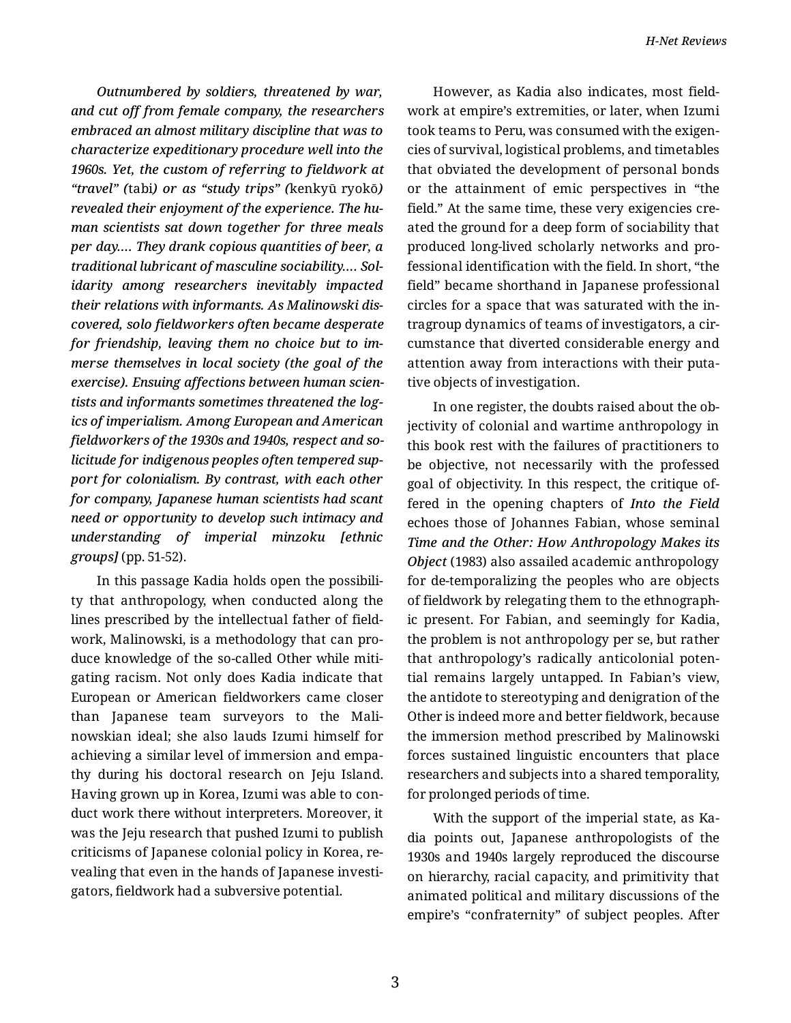*Outnumbered by soldiers, threatened by war, and cut off from female company, the researchers embraced an almost military discipline that was to characterize expeditionary procedure well into the 1960s. Yet, the custom of referring to fieldwork at "travel" (*tabi*) or as "study trips" (*kenkyū ryokō*) revealed their enjoyment of the experience. The hu‐ man scientists sat down together for three meals per day…. They drank copious quantities of beer, a traditional lubricant of masculine sociability…. Sol‐ idarity among researchers inevitably impacted their relations with informants. As Malinowski dis‐ covered, solo fieldworkers often became desperate for friendship, leaving them no choice but to im‐ merse themselves in local society (the goal of the exercise). Ensuing affections between human scien‐ tists and informants sometimes threatened the log‐ ics of imperialism. Among European and American fieldworkers of the 1930s and 1940s, respect and so‐ licitude for indigenous peoples often tempered sup‐ port for colonialism. By contrast, with each other for company, Japanese human scientists had scant need or opportunity to develop such intimacy and understanding of imperial minzoku [ethnic groups]* (pp. 51-52).

In this passage Kadia holds open the possibili‐ ty that anthropology, when conducted along the lines prescribed by the intellectual father of field‐ work, Malinowski, is a methodology that can pro‐ duce knowledge of the so-called Other while miti‐ gating racism. Not only does Kadia indicate that European or American fieldworkers came closer than Japanese team surveyors to the Mali‐ nowskian ideal; she also lauds Izumi himself for achieving a similar level of immersion and empa‐ thy during his doctoral research on Jeju Island. Having grown up in Korea, Izumi was able to con‐ duct work there without interpreters. Moreover, it was the Jeju research that pushed Izumi to publish criticisms of Japanese colonial policy in Korea, re‐ vealing that even in the hands of Japanese investi‐ gators, fieldwork had a subversive potential.

However, as Kadia also indicates, most field‐ work at empire's extremities, or later, when Izumi took teams to Peru, was consumed with the exigen‐ cies of survival, logistical problems, and timetables that obviated the development of personal bonds or the attainment of emic perspectives in "the field." At the same time, these very exigencies created the ground for a deep form of sociability that produced long-lived scholarly networks and pro‐ fessional identification with the field. In short, "the field" became shorthand in Japanese professional circles for a space that was saturated with the in‐ tragroup dynamics of teams of investigators, a cir‐ cumstance that diverted considerable energy and attention away from interactions with their puta‐ tive objects of investigation.

In one register, the doubts raised about the ob‐ jectivity of colonial and wartime anthropology in this book rest with the failures of practitioners to be objective, not necessarily with the professed goal of objectivity. In this respect, the critique of‐ fered in the opening chapters of *Into the Field* echoes those of Johannes Fabian, whose seminal *Time and the Other: How Anthropology Makes its Object* (1983) also assailed academic anthropology for de-temporalizing the peoples who are objects of fieldwork by relegating them to the ethnograph‐ ic present. For Fabian, and seemingly for Kadia, the problem is not anthropology per se, but rather that anthropology's radically anticolonial poten‐ tial remains largely untapped. In Fabian's view, the antidote to stereotyping and denigration of the Other is indeed more and better fieldwork, because the immersion method prescribed by Malinowski forces sustained linguistic encounters that place researchers and subjects into a shared temporality, for prolonged periods of time.

With the support of the imperial state, as Ka‐ dia points out, Japanese anthropologists of the 1930s and 1940s largely reproduced the discourse on hierarchy, racial capacity, and primitivity that animated political and military discussions of the empire's "confraternity" of subject peoples. After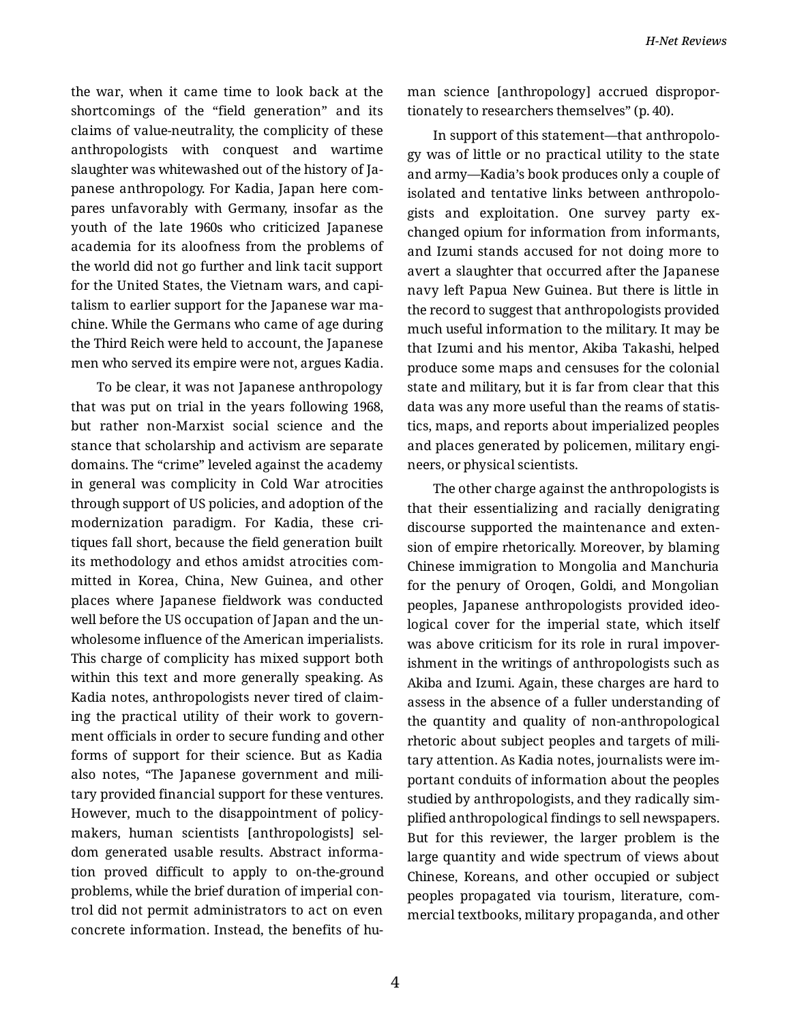the war, when it came time to look back at the shortcomings of the "field generation" and its claims of value-neutrality, the complicity of these anthropologists with conquest and wartime slaughter was whitewashed out of the history of Ja‐ panese anthropology. For Kadia, Japan here com‐ pares unfavorably with Germany, insofar as the youth of the late 1960s who criticized Japanese academia for its aloofness from the problems of the world did not go further and link tacit support for the United States, the Vietnam wars, and capi‐ talism to earlier support for the Japanese war ma‐ chine. While the Germans who came of age during the Third Reich were held to account, the Japanese men who served its empire were not, argues Kadia.

To be clear, it was not Japanese anthropology that was put on trial in the years following 1968, but rather non-Marxist social science and the stance that scholarship and activism are separate domains. The "crime" leveled against the academy in general was complicity in Cold War atrocities through support of US policies, and adoption of the modernization paradigm. For Kadia, these cri‐ tiques fall short, because the field generation built its methodology and ethos amidst atrocities com‐ mitted in Korea, China, New Guinea, and other places where Japanese fieldwork was conducted well before the US occupation of Japan and the un‐ wholesome influence of the American imperialists. This charge of complicity has mixed support both within this text and more generally speaking. As Kadia notes, anthropologists never tired of claim‐ ing the practical utility of their work to govern‐ ment officials in order to secure funding and other forms of support for their science. But as Kadia also notes, "The Japanese government and mili‐ tary provided financial support for these ventures. However, much to the disappointment of policy‐ makers, human scientists [anthropologists] sel‐ dom generated usable results. Abstract informa‐ tion proved difficult to apply to on-the-ground problems, while the brief duration of imperial con‐ trol did not permit administrators to act on even concrete information. Instead, the benefits of hu‐

man science [anthropology] accrued dispropor‐ tionately to researchers themselves" (p. 40).

In support of this statement—that anthropolo‐ gy was of little or no practical utility to the state and army—Kadia's book produces only a couple of isolated and tentative links between anthropolo‐ gists and exploitation. One survey party ex‐ changed opium for information from informants, and Izumi stands accused for not doing more to avert a slaughter that occurred after the Japanese navy left Papua New Guinea. But there is little in the record to suggest that anthropologists provided much useful information to the military. It may be that Izumi and his mentor, Akiba Takashi, helped produce some maps and censuses for the colonial state and military, but it is far from clear that this data was any more useful than the reams of statis‐ tics, maps, and reports about imperialized peoples and places generated by policemen, military engi‐ neers, or physical scientists.

The other charge against the anthropologists is that their essentializing and racially denigrating discourse supported the maintenance and exten‐ sion of empire rhetorically. Moreover, by blaming Chinese immigration to Mongolia and Manchuria for the penury of Oroqen, Goldi, and Mongolian peoples, Japanese anthropologists provided ideo‐ logical cover for the imperial state, which itself was above criticism for its role in rural impover‐ ishment in the writings of anthropologists such as Akiba and Izumi. Again, these charges are hard to assess in the absence of a fuller understanding of the quantity and quality of non-anthropological rhetoric about subject peoples and targets of mili‐ tary attention. As Kadia notes, journalists were im‐ portant conduits of information about the peoples studied by anthropologists, and they radically sim‐ plified anthropological findings to sell newspapers. But for this reviewer, the larger problem is the large quantity and wide spectrum of views about Chinese, Koreans, and other occupied or subject peoples propagated via tourism, literature, com‐ mercial textbooks, military propaganda, and other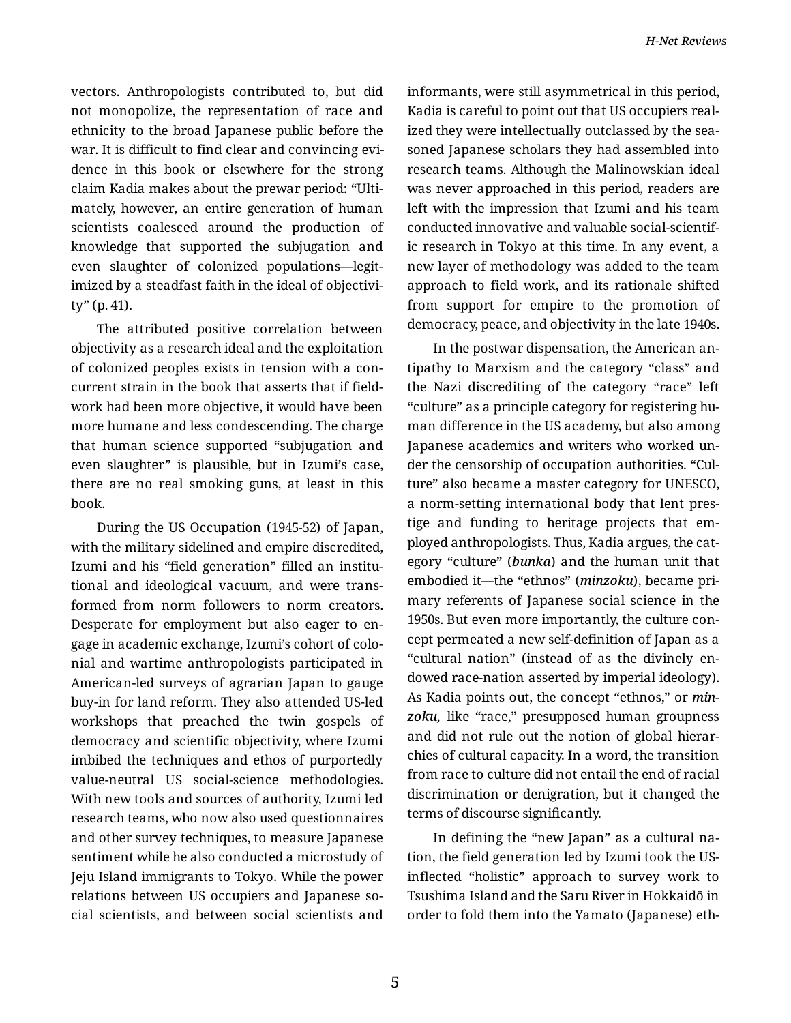vectors. Anthropologists contributed to, but did not monopolize, the representation of race and ethnicity to the broad Japanese public before the war. It is difficult to find clear and convincing evi‐ dence in this book or elsewhere for the strong claim Kadia makes about the prewar period: "Ulti‐ mately, however, an entire generation of human scientists coalesced around the production of knowledge that supported the subjugation and even slaughter of colonized populations—legit‐ imized by a steadfast faith in the ideal of objectivi‐ ty" (p. 41).

The attributed positive correlation between objectivity as a research ideal and the exploitation of colonized peoples exists in tension with a con‐ current strain in the book that asserts that if field‐ work had been more objective, it would have been more humane and less condescending. The charge that human science supported "subjugation and even slaughter" is plausible, but in Izumi's case, there are no real smoking guns, at least in this book.

During the US Occupation (1945-52) of Japan, with the military sidelined and empire discredited, Izumi and his "field generation" filled an institutional and ideological vacuum, and were trans‐ formed from norm followers to norm creators. Desperate for employment but also eager to en‐ gage in academic exchange, Izumi's cohort of colo‐ nial and wartime anthropologists participated in American-led surveys of agrarian Japan to gauge buy-in for land reform. They also attended US-led workshops that preached the twin gospels of democracy and scientific objectivity, where Izumi imbibed the techniques and ethos of purportedly value-neutral US social-science methodologies. With new tools and sources of authority, Izumi led research teams, who now also used questionnaires and other survey techniques, to measure Japanese sentiment while he also conducted a microstudy of Jeju Island immigrants to Tokyo. While the power relations between US occupiers and Japanese so‐ cial scientists, and between social scientists and informants, were still asymmetrical in this period, Kadia is careful to point out that US occupiers real‐ ized they were intellectually outclassed by the sea‐ soned Japanese scholars they had assembled into research teams. Although the Malinowskian ideal was never approached in this period, readers are left with the impression that Izumi and his team conducted innovative and valuable social-scientif‐ ic research in Tokyo at this time. In any event, a new layer of methodology was added to the team approach to field work, and its rationale shifted from support for empire to the promotion of democracy, peace, and objectivity in the late 1940s.

In the postwar dispensation, the American an‐ tipathy to Marxism and the category "class" and the Nazi discrediting of the category "race" left "culture" as a principle category for registering hu‐ man difference in the US academy, but also among Japanese academics and writers who worked un‐ der the censorship of occupation authorities. "Culture" also became a master category for UNESCO, a norm-setting international body that lent pres‐ tige and funding to heritage projects that em‐ ployed anthropologists. Thus, Kadia argues, the cat‐ egory "culture" (*bunka*) and the human unit that embodied it—the "ethnos" (*minzoku*), became pri‐ mary referents of Japanese social science in the 1950s. But even more importantly, the culture con‐ cept permeated a new self-definition of Japan as a "cultural nation" (instead of as the divinely en‐ dowed race-nation asserted by imperial ideology). As Kadia points out, the concept "ethnos," or *min‐ zoku,* like "race," presupposed human groupness and did not rule out the notion of global hierar‐ chies of cultural capacity. In a word, the transition from race to culture did not entail the end of racial discrimination or denigration, but it changed the terms of discourse significantly.

In defining the "new Japan" as a cultural na‐ tion, the field generation led by Izumi took the USinflected "holistic" approach to survey work to Tsushima Island and the Saru River in Hokkaidō in order to fold them into the Yamato (Japanese) eth‐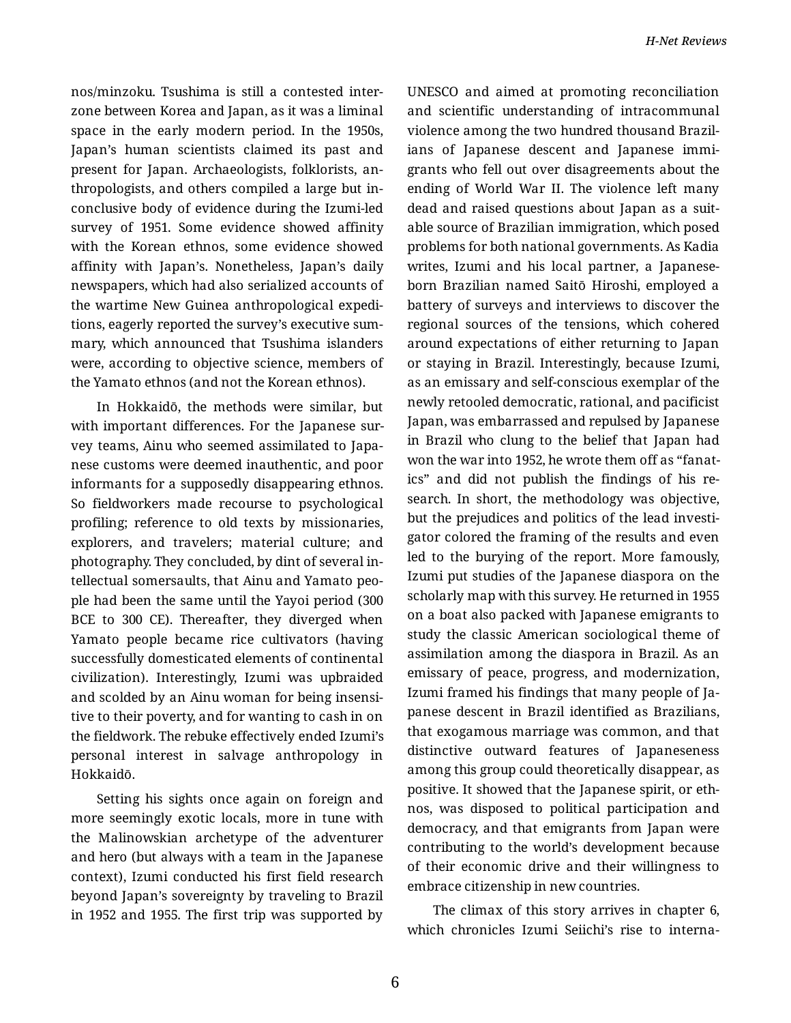nos/minzoku. Tsushima is still a contested inter‐ zone between Korea and Japan, as it was a liminal space in the early modern period. In the 1950s, Japan's human scientists claimed its past and present for Japan. Archaeologists, folklorists, an‐ thropologists, and others compiled a large but in‐ conclusive body of evidence during the Izumi-led survey of 1951. Some evidence showed affinity with the Korean ethnos, some evidence showed affinity with Japan's. Nonetheless, Japan's daily newspapers, which had also serialized accounts of the wartime New Guinea anthropological expedi‐ tions, eagerly reported the survey's executive sum‐ mary, which announced that Tsushima islanders were, according to objective science, members of the Yamato ethnos (and not the Korean ethnos).

In Hokkaidō, the methods were similar, but with important differences. For the Japanese survey teams, Ainu who seemed assimilated to Japa‐ nese customs were deemed inauthentic, and poor informants for a supposedly disappearing ethnos. So fieldworkers made recourse to psychological profiling; reference to old texts by missionaries, explorers, and travelers; material culture; and photography. They concluded, by dint of several in‐ tellectual somersaults, that Ainu and Yamato peo‐ ple had been the same until the Yayoi period (300 BCE to 300 CE). Thereafter, they diverged when Yamato people became rice cultivators (having successfully domesticated elements of continental civilization). Interestingly, Izumi was upbraided and scolded by an Ainu woman for being insensi‐ tive to their poverty, and for wanting to cash in on the fieldwork. The rebuke effectively ended Izumi's personal interest in salvage anthropology in Hokkaidō.

Setting his sights once again on foreign and more seemingly exotic locals, more in tune with the Malinowskian archetype of the adventurer and hero (but always with a team in the Japanese context), Izumi conducted his first field research beyond Japan's sovereignty by traveling to Brazil in 1952 and 1955. The first trip was supported by

UNESCO and aimed at promoting reconciliation and scientific understanding of intracommunal violence among the two hundred thousand Brazil‐ ians of Japanese descent and Japanese immi‐ grants who fell out over disagreements about the ending of World War II. The violence left many dead and raised questions about Japan as a suit‐ able source of Brazilian immigration, which posed problems for both national governments. As Kadia writes, Izumi and his local partner, a Japaneseborn Brazilian named Saitō Hiroshi, employed a battery of surveys and interviews to discover the regional sources of the tensions, which cohered around expectations of either returning to Japan or staying in Brazil. Interestingly, because Izumi, as an emissary and self-conscious exemplar of the newly retooled democratic, rational, and pacificist Japan, was embarrassed and repulsed by Japanese in Brazil who clung to the belief that Japan had won the war into 1952, he wrote them off as "fanat‐ ics" and did not publish the findings of his re‐ search. In short, the methodology was objective, but the prejudices and politics of the lead investi‐ gator colored the framing of the results and even led to the burying of the report. More famously, Izumi put studies of the Japanese diaspora on the scholarly map with this survey. He returned in 1955 on a boat also packed with Japanese emigrants to study the classic American sociological theme of assimilation among the diaspora in Brazil. As an emissary of peace, progress, and modernization, Izumi framed his findings that many people of Ja‐ panese descent in Brazil identified as Brazilians, that exogamous marriage was common, and that distinctive outward features of Japaneseness among this group could theoretically disappear, as positive. It showed that the Japanese spirit, or eth‐ nos, was disposed to political participation and democracy, and that emigrants from Japan were contributing to the world's development because of their economic drive and their willingness to embrace citizenship in new countries.

The climax of this story arrives in chapter 6, which chronicles Izumi Seiichi's rise to interna‐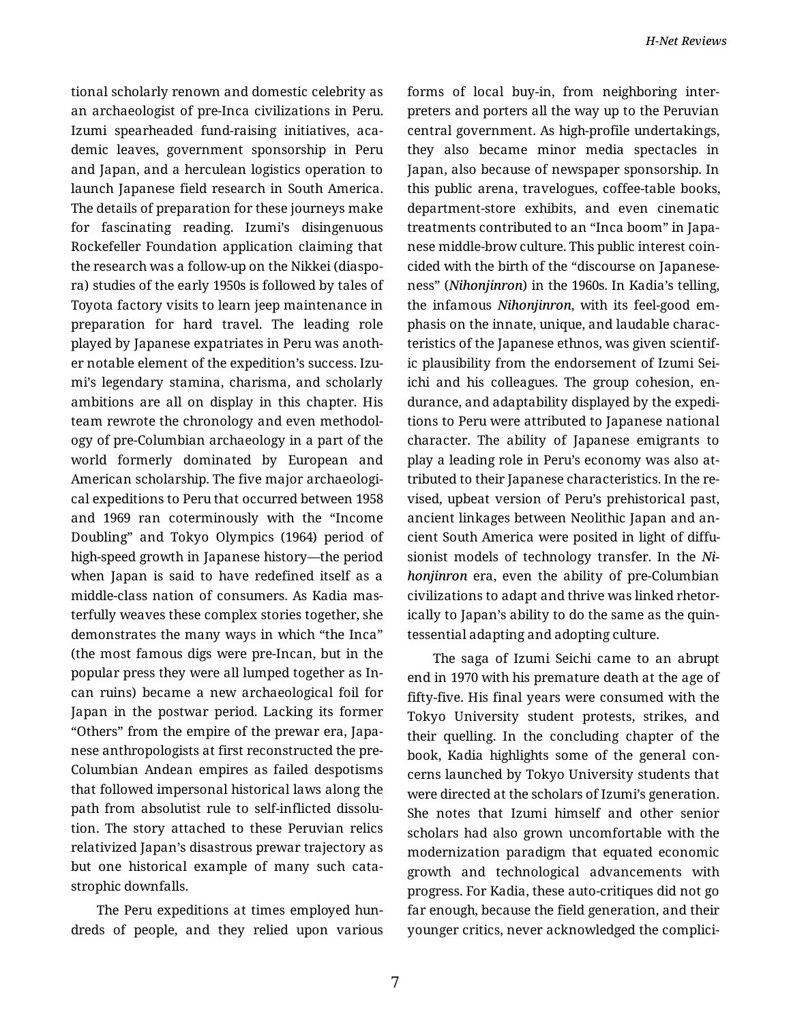tional scholarly renown and domestic celebrity as an archaeologist of pre-Inca civilizations in Peru. Izumi spearheaded fund-raising initiatives, aca‐ demic leaves, government sponsorship in Peru and Japan, and a herculean logistics operation to launch Japanese field research in South America. The details of preparation for these journeys make for fascinating reading. Izumi's disingenuous Rockefeller Foundation application claiming that the research was a follow-up on the Nikkei (diaspo‐ ra) studies of the early 1950s is followed by tales of Toyota factory visits to learn jeep maintenance in preparation for hard travel. The leading role played by Japanese expatriates in Peru was anoth‐ er notable element of the expedition's success. Izu‐ mi's legendary stamina, charisma, and scholarly ambitions are all on display in this chapter. His team rewrote the chronology and even methodol‐ ogy of pre-Columbian archaeology in a part of the world formerly dominated by European and American scholarship. The five major archaeologi‐ cal expeditions to Peru that occurred between 1958 and 1969 ran coterminously with the "Income Doubling" and Tokyo Olympics (1964) period of high-speed growth in Japanese history—the period when Japan is said to have redefined itself as a middle-class nation of consumers. As Kadia mas‐ terfully weaves these complex stories together, she demonstrates the many ways in which "the Inca" (the most famous digs were pre-Incan, but in the popular press they were all lumped together as In‐ can ruins) became a new archaeological foil for Japan in the postwar period. Lacking its former "Others" from the empire of the prewar era, Japa‐ nese anthropologists at first reconstructed the pre-Columbian Andean empires as failed despotisms that followed impersonal historical laws along the path from absolutist rule to self-inflicted dissolu‐ tion. The story attached to these Peruvian relics relativized Japan's disastrous prewar trajectory as but one historical example of many such cata‐ strophic downfalls.

The Peru expeditions at times employed hun‐ dreds of people, and they relied upon various forms of local buy-in, from neighboring inter‐ preters and porters all the way up to the Peruvian central government. As high-profile undertakings, they also became minor media spectacles in Japan, also because of newspaper sponsorship. In this public arena, travelogues, coffee-table books, department-store exhibits, and even cinematic treatments contributed to an "Inca boom" in Japa‐ nese middle-brow culture. This public interest coin‐ cided with the birth of the "discourse on Japaneseness" (*Nihonjinron*) in the 1960s. In Kadia's telling, the infamous *Nihonjinron*, with its feel-good em‐ phasis on the innate, unique, and laudable charac‐ teristics of the Japanese ethnos, was given scientif‐ ic plausibility from the endorsement of Izumi Sei‐ ichi and his colleagues. The group cohesion, en‐ durance, and adaptability displayed by the expedi‐ tions to Peru were attributed to Japanese national character. The ability of Japanese emigrants to play a leading role in Peru's economy was also at‐ tributed to their Japanese characteristics. In the re‐ vised, upbeat version of Peru's prehistorical past, ancient linkages between Neolithic Japan and an‐ cient South America were posited in light of diffu‐ sionist models of technology transfer. In the *Ni‐ honjinron* era, even the ability of pre-Columbian civilizations to adapt and thrive was linked rhetor‐ ically to Japan's ability to do the same as the quin‐ tessential adapting and adopting culture.

The saga of Izumi Seichi came to an abrupt end in 1970 with his premature death at the age of fifty-five. His final years were consumed with the Tokyo University student protests, strikes, and their quelling. In the concluding chapter of the book, Kadia highlights some of the general con‐ cerns launched by Tokyo University students that were directed at the scholars of Izumi's generation. She notes that Izumi himself and other senior scholars had also grown uncomfortable with the modernization paradigm that equated economic growth and technological advancements with progress. For Kadia, these auto-critiques did not go far enough, because the field generation, and their younger critics, never acknowledged the complici‐

7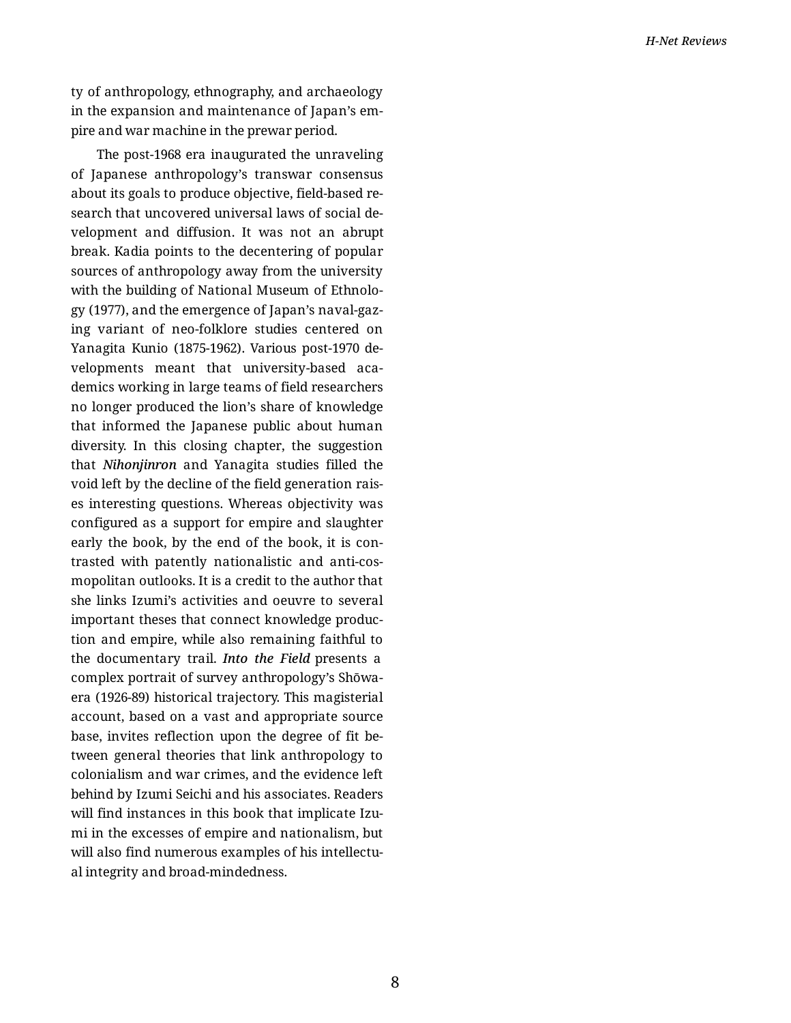ty of anthropology, ethnography, and archaeology in the expansion and maintenance of Japan's em‐ pire and war machine in the prewar period.

The post-1968 era inaugurated the unraveling of Japanese anthropology's transwar consensus about its goals to produce objective, field-based re‐ search that uncovered universal laws of social de‐ velopment and diffusion. It was not an abrupt break. Kadia points to the decentering of popular sources of anthropology away from the university with the building of National Museum of Ethnolo‐ gy (1977), and the emergence of Japan's naval-gaz‐ ing variant of neo-folklore studies centered on Yanagita Kunio (1875-1962). Various post-1970 de‐ velopments meant that university-based aca‐ demics working in large teams of field researchers no longer produced the lion's share of knowledge that informed the Japanese public about human diversity. In this closing chapter, the suggestion that *Nihonjinron* and Yanagita studies filled the void left by the decline of the field generation rais‐ es interesting questions. Whereas objectivity was configured as a support for empire and slaughter early the book, by the end of the book, it is con‐ trasted with patently nationalistic and anti-cos‐ mopolitan outlooks. It is a credit to the author that she links Izumi's activities and oeuvre to several important theses that connect knowledge produc‐ tion and empire, while also remaining faithful to the documentary trail. *Into the Field* presents a complex portrait of survey anthropology's Shōwaera (1926-89) historical trajectory. This magisterial account, based on a vast and appropriate source base, invites reflection upon the degree of fit be‐ tween general theories that link anthropology to colonialism and war crimes, and the evidence left behind by Izumi Seichi and his associates. Readers will find instances in this book that implicate Izumi in the excesses of empire and nationalism, but will also find numerous examples of his intellectual integrity and broad-mindedness.